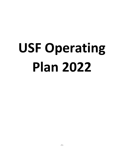# **USF Operating Plan 2022**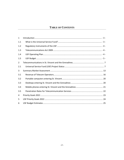# **TABLE OF CONTENTS**

| $\mathbf{1}$   |  |
|----------------|--|
| 1.1            |  |
| 1.2            |  |
| 1.3            |  |
| 1.4            |  |
| 1.5            |  |
| $\overline{2}$ |  |
| 2.1            |  |
| 3              |  |
| 3.1            |  |
| 3.2            |  |
| 3.3            |  |
| 3.4            |  |
| 3.5            |  |
| 4              |  |
| 5              |  |
| 6              |  |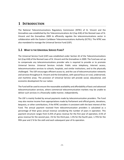# <span id="page-2-0"></span>**1 INTRODUCTION**

The National Telecommunications Regulatory Commission (NTRC) of St. Vincent and the Grenadines was established by the Telecommunications Act (Cap 418) of the Revised Laws of St. Vincent and the Grenadines 2009 to efficiently regulate the telecommunications sector in collaboration with the Eastern Caribbean Telecommunications Authority (ECTEL). The NTRC was also mandated to manage the Universal Service Fund (USF).

# <span id="page-2-1"></span>**1.1 WHAT IS THE UNIVERSAL SERVICE FUND?**

The Universal Service Fund (USF) was established under Section 42 of the Telecommunications Act (Cap 418) of the Revised Laws of St. Vincent and the Grenadines in 2009. The Fund was set up to compensate any telecommunications provider who is required to provide or to promote Universal Service. Universal Services include: Public voice telephony, Internet access, telecommunication services to schools, hospitals, and similar institutions, and to the physically challenged. The USF encourages efficient access to, and the use of telecommunication networks and services throughout St. Vincent and the Grenadines, with special focus on rural, underserved, and maritime areas. The provision of Universal Service will provide social, educational, and economic development for our nation.

The Fund will be used to ensure the reasonable availability and affordability of basic and advanced telecommunication services, where commercial telecommunication markets may be unable to deliver such services in a financially viable manner, independently.

The USF is mainly funded by annual payments made by telecommunication providers. The Fund may also receive income from appropriations made by Parliament and official grants, donations, bequests, or other contributions, if the NTRC considers it consistent with the best interest of the Fund. The annual payment received from telecommunication providers is calculated as a percentage of their gross annual revenue considering the number of years in operation. This payment structure ranges from 0.25% of gross revenue for the first year of operation, 0.5% of gross revenue for the second year, 1% for the third year, 1.5% for the fourth year, 1.75% for the fifth year and 2 % for the sixth and each subsequent year of its operation.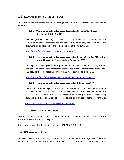# <span id="page-3-0"></span>**1.2 REGULATORY INSTRUMENTS OF THE USF**

There are several regulatory instruments that govern the Universal Service Fund. They are as follows:

## **1.2.1 Telecommunications (Universal Service Fund Contribution Order) Regulations S.R.O. #4 of 2017.**

This was gazetted in January 2017. This revised Order sets out the method for the calculation of annual payments and the deadline by which they are to be paid. This document can be accessed on the NTRC's website at the following URL:

[http://ntrc.vc/docs/usf/USF\\_contribution\\_order-1.pdf](http://ntrc.vc/docs/usf/USF_contribution_order-1.pdf)

## **1.2.2 Telecommunications (Universal Service Fund) Regulations (Cap 418) of the Revised Laws of St. Vincent and the Grenadines 2009**

The Regulations were gazetted on September 16, 2008 and the aim of these regulations is to provide a broad framework for the efficient and effective management of the Fund. This document can be accessed on the NTRC's website at the following URL:

[https://ntrc.vc/docs/usf/Universal\\_Service\\_Fund\\_regulations\\_20110418.pdf](https://ntrc.vc/docs/usf/Universal_Service_Fund_regulations_20110418.pdf)

## **1.2.3 Telecommunications (Universal Service Fund) Guidelines 2009**

This document outlines specific procedures and policies for the management of the USF in St. Vincent and the Grenadines. It also outlines the basis for the development and use of the Guidelines derived from the Telecommunications (Universal Service Fund**)**  Regulations. This document can be accessed on the NTRC's website at the following URL:

[http://ntrc.vc/docs/usf/USF\\_guidelines\\_20110418.pdf](http://ntrc.vc/docs/usf/USF_guidelines_20110418.pdf)

# <span id="page-3-1"></span>**1.3 TELECOMMUNICATIONS ACT 2009**

Section 42 of this Act mandates the establishment of the USF. This document can be accessed on the NTRC's website at the following URL:

https://ntrc.vc/docs/legislations/telecom\_act\_2001\_SRO\_NO\_11.pdf

# <span id="page-3-2"></span>**1.4 USF OPERATING PLAN**

The USF Operating Plan is a policy document which outlines the priority objectives of the USF within St. Vincent and the Grenadines on an annual basis. This document summarizes the state of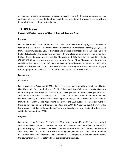development of telecommunications in the country, and it setsforth the broad objectives, targets, and types of projects that the Fund may seek to promote during the year. It also provides a financial status of the fund to stakeholders.

# <span id="page-4-0"></span>**1.5 USF BUDGET Financial Performance of the Universal Service Fund**

## **Revenue**

For the year ended December 31, 2021, the Universal Service Fund had projected to receive a total of Two Million Three Hundred and Seventy Thousand, Four Hundred Dollars (\$2,370,400.00) from Telecommunications Service Providers and interest of Eighteen Thousand Nine Hundred Dollars (\$18,900.00). The actual revenue received from telecommunications providers was Two Million Three Hundred and Seventy-Six Thousand and Fifty-Two Dollars and Fifty Cents (\$2,376,052.50) while interest received amounted to Twenty-Three Thousand and Two Dollars and Thirty-Eight Cents (\$23,002.38). A further Twenty-Three Thousand Nine Hundred and Twelve Dollars and Sixty-Six cents (\$23,912.66) were received consisting of donations towards our MyApp summer programme and icode784 competition and a refund on project expenses.

## **Expenditure**

## Recurrent:

For the year ended December 31, 2021, the USF had projected to spend Four Hundred and Forty-Five Thousand, Four Hundred and Fifty-Six Dollars and Sixty-Eight Cents (\$445,456.68) on recurrent expenditure. However, Three Hundred and Fifty-Three Thousand, and Fifty-Four Dollars and Twenty-Nine Cents (\$353,054.29) was spent. Due to the current COVID-19 Pandemic, overseas travelling for the attendance of training and meetings were cancelled. Also, the winners from the Secondary Mobile Applications category of the 2020 iCode784 competition were to travel to Barcelona as part of their prize to attend the GSMA 4YFN Start-up event. However, this too was cancelled due to the pandemic. The trip to Barcelona is now scheduled to take place within the first quarter of 2022.

## **Projects:**

For the year ended December 31, 2021, the USF budgeted to spend Three Million, Five Hundred and Seventy-Nine Thousand, Two Hundred and Six Dollars and Ten Cents (\$3,579,206.10) for payments on projects. However, Two Million Two Hundred and Fifty-One Thousand, Two Hundred and Thirty-Seven Dollars and Forty-Three Cents (\$2,251,237.43) was spent. This is primarily because the contractual obligations under some of the USF projects were not met and therefore, the payments of fees were deferred until the issues were resolved.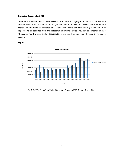#### **Projected Revenue for 2022**

The Fund is projected to receive Two Million, Six Hundred and Eighty-Four Thousand One Hundred and Sixty-Seven Dollars and Fifty Cents (\$2,684,167.50) in 2022. Two Million, Six Hundred and Eighty-One Thousand Six Hundred and Sixty-Seven Dollars and Fifty Cents (\$2,681,667.50) is expected to be collected from the Telecommunications Service Providers and interest of Two Thousand, Five Hundred Dollars (\$2,500.00) is projected on the fund's balance in its saving account.



## **Figure 1**

*Fig 1. USF Projected and Actual Revenue (Source: NTRC Annual Report 2021)*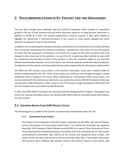# <span id="page-6-0"></span>**2 TELECOMMUNICATIONS IN ST. VINCENT AND THE GRENADINES**

The year 2021 brought many challenges with the COVID-19 pandemic, which resulted in a significant growth in the use of web conferencing and online classroom platforms to keep persons connected. In addition to COVID-19 in 2021, the country experienced a volcanic eruption in April which helped to highlight the deficiencies in telecommunications in the country as most schools adopted the online approach as opposed to face-to-face learning.

In addition, the monitoring and evaluation of projects executed by the Universal Service Fund was affected due to protocols implemented to combat the pandemic. Monthly site visits under the five USF projects to ensure that the equipment is functional, and services are in place at the various locations had to be delayed in some areas due to the pandemic. As such the USF is exploring other methods to assist with the monitoring and evaluation process of the projects so that this important aspect is not adversely affected should similar situations arise in the future. The methods explored would also help to evaluate if the objectives of the projects, are being realized by the parties impacted by the USF projects implemented.

The NTRC has 322 wireless access points at 125 locations nationwide, which were installed under six projects implemented by the USF. These access points are monitored and managed through a central dashboard which is hosted in the cloud. While conducting our monitoring of these access points, the increase demand for the internet was observed as we noted that a total of 645.98 Terabytes of data was consumed by 1,696,376 devices in 2021, which is a 47.7% increase in usage compared to 2020 which had 437.35 Terabytes data consumption by 68,108 devices.

In 2021, the NTRC held ICT training in the rural areas with the MyApp Summer Program. The program was held at the Canouan Secondary School and Spring Garden Resort with an estimated twenty (20) students for each location.

# <span id="page-6-1"></span>**2.1 UNIVERSAL SERVICE FUND (USF) PROJECT STATUS**

The following gives an update of the projects currently being implemented under the USF:

## **2.1.1 Community Access Project**

This project is the combination of the first project undertaken by the NTRC, The Internet Project, and the sixth project, The Community Center Project. The contract for this project was signed on March 8th, 2019, between Cable & Wireless and the NTRC for a total of Three Hundred and Thirty-Three Thousand One Hundred and Seventy-Two Dollars and Three Cents (EC\$333,172.03) and was commissioned on December 19th, 2019 as all the services and equipment were in place. This project ran for two years and came to an end on December 18th, 2021. In the project, forty-seven (47) locations were outfitted with wireless internal and external internet access points with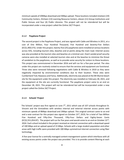minimum speeds of 20Mbps download and 3Mbps upload. These locations included nineteen (19) Community Centers, thirteen (13) Learning Resource Centers, eleven (11) Group Institutions and Public Venues and four (4) Public Libraries. This project will not be retendered but will be incorporated under a new project called the Online 24/7 Project.

#### **2.1.2 Payphone Project**

The second project is the Payphone Project, and was signed with Cable and Wireless in 2011, at a cost of One Million, Four Hundred Thousand, Five Hundred and Seventy-Five Dollars (EC\$1,400,575). Under this project, twenty-five (25) payphones were installed at various locations across SVG, including tourism sites, beaches and at points along the main road. Internet access was also provided at the tourism sites and beaches at a minimal cost. Overt vandal proof security cameras were also installed at selected tourism sites and at the beaches to minimize the threat of vandalism to the payphones, as well as to provide some security for visitors to these locations. This project was commissioned in December 2016 and will run for a five-year period. The sites under this project are routinely visited to ensure that the services and equipment are functional. Three sites were removed following negotiations with Cable & Wireless in 2019 as they were negatively impacted by environmental conditions due to their location. These sites were Cumberland Trail, Rawacou and Fancy. Additionally, electricity was placed at the Mt Wynne beach site for the equipment under this project. The electricity was installed on February 28, 2021, and the equipment at the site are currently functional. The payphone project came to an end on December 28, 2021. This project will not be retendered but will be incorporated under a new project called the Online 24/7 Project.

#### **2.1.3 Schools' Project**

The Schools' project was first signed on June  $7<sup>th</sup>$ , 2011 which saw all 107 schools throughout St. Vincent and the Grenadines with wireless internal and external internet access points with minimum speeds of 8Mbps download and 2Mbps upload. This original contract came to an end and a new contract for this project was signed on October 23<sup>rd</sup>, 2019, for a total of Two Million Five Hundred and Fifty-One Thousand, Fifty-Four Dollars and Eighty-Seven Cents (EC\$2,551,054.87). The project will run for five years and would come to an end on October 22<sup>nd</sup>, 2024. Each school included in the project received an internet connection with a download speed of 100 Mbps and an upload speed of 15 Mbps. Schools with a large student population and other areas with high traffic were provided with 100 Mbps symmetrical internet connection using fiber technology.

 A five-year license for a centrally managed content management system which interfaces with all existing access points under the project was provided. This is to provide content filtering at each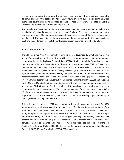location and to monitor the status of the services at each location. This project was expected to be commissioned by the second quarter of 2020, however during our commissioning activities, there were several changes to be made to schools. These works were completed by Cable & Wireless. The project was commissioned April 30, 2021.

Additionally, on December 14, 2020, the contract document was amended to include the installation of 116 additional access points across 57 schools. This saw an improvement in the coverage at schools. The additional access points were purchased, and their desired placement was finalized. The installation of the new access points was completed by the third quarter of 2021 and the addendum for the Schools' Project was commissioned November 30, 2021.

#### **2.1.4 Maritime Project**

The VHF Maritime Project was initially commissioned on November 20, 2012 and ran for five years. The project was implemented to provide access to both emergency and non-emergency communications in the Exclusive Economic Zone (EEZ) of St Vincent and the Grenadines and saw the implementation of a Global Maritime Distress and Safety System (GMDSS) in St. Vincent and the Grenadines. The project was executed for a total cost of One Million, One Hundred and Twenty-Five Thousand, Seven Hundred and Eighty Dollars (EC\$1,125,780) and was maintained for a period of five years. Five Hundred and Forty Thousand Dollars (EC\$540,000) of this amount was accessed from the World Bank for the purchase and installation of the equipment. The remaining Five Hundred and Eighty-Five Thousand, Seven Hundred and Eighty Dollars (EC\$585,780) was paid by the Universal Service Fund for the maintenance of the services and equipment over the fiveyear period. GMDSS provides for distress alerts, distress relays, search, and rescue, on scene communication and location services. This system is mandatory for all ships subject to the Safety of Life at Sea (SOLAS) convention of 1974. Digital Selective Calling (DSC) is one of the most important aspects of this GMDSS system and is a standard for sending a pre-defined digital message via the pressing of one button.

This project was retendered in 2017 as the contract which was in place came to an end. The NTRC subsequently entered a contract with Cable & Wireless for the continued maintenance of the equipment and system to facilitate the GMDSS System. The contract was signed on March 8<sup>th</sup>, 2019, for a period of five years for a total cost of Five Hundred and Ninety-One Thousand, Eight Hundred and Forty Dollars and Sixty-Five Cents (\$591,840.65). Additionally, under this new contract the NTRC was able to purchase handheld GMDSS enabled radios and replacement components (such as antennas and batteries) for resale at a subsidized cost. The cost of the VHF Radio is Five Hundred Dollars (EC\$500.00), the cost for battery and antenna is One Hundred Dollars (EC\$100.00) and Forty Dollars (EC\$40.00) respectively.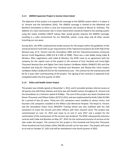#### **2.1.5 GMDSS Expansion Project in Jerome Union Island**

The objective of the project is to expand the coverage to the GMDSS system which is in place in St. Vincent and the Grenadines (SVG). The GMDSS coverage is limited to the Mainland and Northern Grenadines as there is only one transmission site located at Mount St. Andrews. The addition of a new transmission site in Union Island which would be linked to the existing system using the newly installed CARCIP Subsea fiber would greatly improve the GMDSS coverage, resulting in a safer environment for our fisherfolk, yachts, cruise ships and all other vessels transiting our sea space.

During 2021, the NTRC conducted the tender process for the project within the guidelines of the Universal Service Fund (USF) as per requirements of the Telecommunications Act (CAP 418) of the Revised Laws of St. Vincent and the Grenadines 2009 and the Telecommunications (Universal Service Fund) Regulations 2008 (S.R & O #45 of 2008). There was a sole bidder being Cable & Wireless. After negotiations with Cable & Wireless, the NTRC came to an agreement with the company for the capital costs of the project in the amount of Four Hundred and Forty-Eight Thousand Seventy-One and Eighty-Two Cents Eastern Caribbean Dollars (S448,071.82) and One Hundred and Sixty-Six Thousand Four Hundred and Nineteen and Ninety-One Cents Eastern Caribbean Dollars (\$166,419.91) for the maintenance cost. The contract for the maintenance will be for 5 years after commissioning of the project. The signing of the contracts is expected to be completed within the first quarter of 2022.

#### **2.1.6 Police and Health Center Project**

This project was initially signed on November 1, 2012, and it provided wireless internet access at all twenty-nine (29) Police Stations and forty-two (42) Health Centers throughout St. Vincent and the Grenadines at a minimum speed of 8 Mbps. The cost of this project was Seven Hundred and Eleven Thousand, and Fifteen Dollars (EC\$711,015), and was implemented by Karib Cable (FLOW) for a period of two (2) years. Thirty-one (31) computers were installed at various clinics, and fourteen (14) computers installed at the Milton Cato Memorial Hospital. The Royal St. Vincent and the Grenadines Police Force (RSVGPF) Training School was also outfitted with ten (10) computers to assist the recruits and other officers with their research work. This project was commissioned on June 12, 2015 and came to an end in June 2017 and a project for the continuation of the maintenance of the services was tendered. The NTRC subsequently entered a contract with Cable and Wireless on May  $14<sup>th</sup>$ , 2019, for the continued provision of services at the sites under the project. The contract for this project is Five Hundred and Forty-One Thousand, Three Hundred and Forty Dollars (\$541,340.00) and will run for two years. This project will come to an end on October 27, 2022 and will be retendered in the fourth quarter of 2022.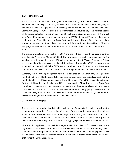#### **2.1.7 SMART Project**

The first contract for this project was signed on November 20<sup>th</sup>, 2012 at a total of One Million, Six Hundred and Ninety-Eight Thousand, Nine Hundred and Ninety-Four Dollars (EC\$1,698,994) for the for the supply of equipment and teaching aids at the St. Vincent and the Grenadines Community College (SVGCC) to enable them to offer specialized ICT training. This included a stateof-the-art computer lab containing Thirty-Five (35) high powered computers, twenty (20) of which were Apple iMac computers, were handed over to the SVGCC: Division of Technical Education. In addition to this, Three Hundred and Forty (340) needy households benefitted from subsidized internet access at a cost of ten dollars (\$10) per month for a maximum of two (2) years. This fiveyear project was commissioned on September 25<sup>th</sup>, 2014 and came to an end in September 24<sup>th</sup>, 2019.

The project was retendered on July 24<sup>th</sup>, 2019, and the NTRC subsequently entered a contract with Cable & Wireless on March  $26<sup>th</sup>$ , 2020. The new contract brought new equipment for the supply of specialised supplementary ICT training equipment at the St. Vincent Community College and the supply of internet access at the subsidized cost of ten dollars (\$10) per month to an increased Six Hundred and Eighty (680) needy households. Also, Six Hundred and Forty (640) Computers would be disbursed to various schools throughout St. Vincent and the Grenadines.

Currently, the ICT training equipment have been delivered to the Community College, Three Hundred and Forty (340) households have an internet connection at a subsidized cost and One Hundred and Fifty (150) computers were disbursed to schools. The NTRC reopened applications for the subsidized internet in March of 2021 to have another Three Hundred and Forty (340) households connected with internet connection and the application portals are still open as the quota was not met in 2021, there remains One Hundred and Fifty (150) households to be connected. Also, the NTRC expects to disburse another One Hundred and Fifty (102) Computers to schools throughout St. Vincent and the Grenadines for 2022.

#### **2.1.8 Online 24/7 Project**

The project is comprised of four Lots which includes the Community Access locations from the community access project. The objective of this lot is for the provision internet service and new access points to offer open Wi-Fi access at existing locations throughout the urban and rural areas of St. Vincent and the Grenadines. Additionally, internet service and access points will be provided to new locations such as high traffic locations, NGO's, playing fields hard courts and tourism sites.

Also, the old payphone project will be merged under the Online 24/7 Project, however the payphones at the previous locations will be replaced with internet access. The existing camera equipment under the payphone project are to be replaced with new camera equipment which will be joined to the network created under the E-Bus Project implemented by the Government of St. Vincent and the Grenadines.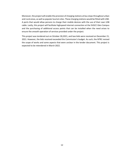Moreover, the project will enable the provision of charging stations at bus stops throughout urban and rural areas, as well as popular tourism sites. These charging stations would be fitted with USB-A ports that would allow persons to charge their mobile devices with the use of their own USB cable. Lastly, this project will facilitate highspeed internet connection at the SVGCC Glen Campus and the purchasing of additional access points that can be installed when the need arises to ensure the smooth operation of services provided under the project.

This project was tendered out on October 30,2021, and two bids were received on December 21, 2021. However, the bids received exceeded the Commission's budget. As such, the NTRC revised the scope of works and some aspects that were unclear in the tender document. This project is expected to be retendered in March 2022.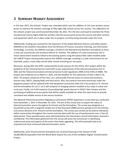# <span id="page-12-0"></span>**3 SUMMARY MARKET ASSESSMENT**

In the year 2021, the Schools' Project was amended which saw the addition of 116 new wireless access points to improve the wireless coverage at fifty-eight (58) schools across the country. The addendum for the schools' project was commissioned November 30, 2021. The USF also continued to maintain the Three Hundred and Twenty-Eight (328) free wireless internet access points across the country and other services and equipment which are in place under the six projects currently being executed under the Fund.

Additionally, funding was received for the Expansion of the Global Maritime Distress and Safety System (GMDSS) to the Southern Grenadines from the Ministry of Finance, Economic Planning, and Information Technology. Currently, the GMDSS coverage is limited to the Mainland and Northern Grenadines as there is only one transmission site located at Mount St. Andrew. The addition of a new transmission site in Union Island which would be linked to the existing system using the Subsea fiber cable installed under the CARCIP Project would greatly improve the GMDSS coverage, resulting in a safer environment for our fisherfolk, yachts, cruise ships and all other vessels transiting our sea space.

Moreover, during 2021 the NTRC conducted the tender process for the Online 24/7 project within the guidelines of the Universal Service Fund (USF) as per requirements of the telecommunications Act of 2001 and the Telecommunications (Universal Service Fund) regulations 2008 (S.R & O #45 of 2008). The project was tendered out on March 2, 2022, and the deadline for the submission of bids is March 16, 2022. The project comprises of four lots, Lot 1 will provide internet access to community locations, tourism sites, NGO's, playing fields and hard courts. Also, the cameras that were previously under the payphone project will be replaced with new equipment and joined under the E-bus project in St. Vincent and the Grenadines for Lot 2. Lot 3 will comprise of charging stations installed at bus stops in urban and rural area. Finally, Lot 4 will comprise of providing high speed internet to SVGCC Glen Campus and the purchasing of additional access points that will be readily available for when the need arises to provide consistent and reliable service at the various locations.

The National Telecommunications Regulatory Commission (NTRC) organized a survey that was conducted from December 1, 2021 to December 20, 2021. The aim of the survey was to acquire the status of telecommunication access throughout St Vincent and the Grenadines. The survey was designed as a household survey with a targeted sample size of two thousand (2000) persons spread across the thirteen (13) census divisions of St. Vincent and the Grenadines. The survey was carried out by several individuals within communities throughout the country and was done with the use of questionnaires over a Two (2) week period. These questionnaires were administered by the interviewers and all information received is confidential. The information gathered from the survey will assist the commission in identifying underserved areas and aspects of the sector that needs upgrading. This will eventually lead to an improved and more enhanced telecommunication sector.

Additionally, Saint Vincent and the Grenadines has received financing in the amount of US\$ 30,000,000.00 equivalent from the World Bank toward the cost of the Caribbean Digital Transformation Project.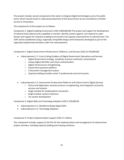The project includes several components that seeks to integrate digital technologies across the public sector which should results in improved productivity of the Government service and delivery of better service to Vincentians.

The components of this project are as follows:

Component 1: Digital Enabling Environment (USD 2,000,000.00) The project will support for development of national level cybersecurity capability to monitor, identify, protect against, and respond to cyber threats and support for requisite enabling environment and capacity improvements at national level. The CERT will be established using a regionally compatible design and frameworks developed as part of the regionally implemented activities under the subcomponent.

Component 2: Digital Government Infrastructure, Platforms, and Services (USD 22,750,000.00)

- Subcomponent 2.1: Cross-Cutting Enablers of Digital Government Operations and Services
	- $\circ$  Digital Government strategy, standards, business continuity, and protocols
		- o Unique digital identifier and citizen authentication
		- o Digital infrastructure strengthening.
	- o Government payment platform
	- o E-Document management system
	- o Capacity building of public sector IT professionals and civil servants
- Subcomponent 2.2: Government Productivity Platforms and Citizen-Centric Digital Services
	- o End-to-end digitization, business process re-engineering, and integration of priority services and systems
	- o Single window for land/property transaction
	- o Single window customs clearance
	- o Tax system development

Component 3: Digital Skills and Technology Adoption (USD 2,750,000.00

- Subcomponent 3.1: Workforce-Ready Digital Skills
- Subcomponent 3.2: Technology Adoption

Component 4: Project Implementation Support (US\$ 2.5 million)

This component includes support to the PIU for the implementation and management of national level project activities, including capacity building and training initiatives.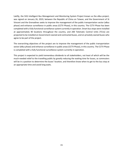Lastly, the SVG Intelligent Bus Management and Monitoring System Project known as the eBus project, was signed on January 26, 2019, between the Republic of China on Taiwan, and the Government of St Vincent and the Grenadines seeks to improve the management of the public transportation sector (eBus phase) and enhance surveillance in public areas (CCTV Phase), in this country. The CCTV Phase has been completed with a fully functional surveillance system currently in operation. Smart bus stops were installed at approximately 40 locations throughout the country, and 200 Telematic Control Units (TCUs) are projected to be installed on Government-owned and contracted buses, and on privately owned buses who agree to be part of the project.

The overarching objectives of the project are to improve the management of the public transportation sector (eBus phase) and enhance surveillance in public areas (CCTV Phase), in this country. The CCTV Phase is completed with a fully functional surveillance system currently in operation.

This project is expected to yield tremendous dividends to all stakeholders, not least of which will be the much-needed relief to the travelling public by greatly reducing the waiting time for buses, as commuters will be in a position to determine the buses' location, and therefore know when to get to the bus stop at an appropriate time and avoid long waits.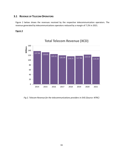## <span id="page-15-0"></span>**3.1 REVENUE OF TELECOM OPERATORS**

Figure 2 below shows the revenues received by the respective telecommunication operators. The revenue generated by telecommunications operators reduced by a margin of 7.2% in 2021.

#### **Figure 2**



**Total Telecom Revenue (XCD)**

*Fig 2. Telecom Revenue for the telecommunications providers in SVG (Source: NTRC)*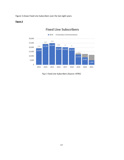Figure 3 shows Fixed Line Subscribers over the last eight years.

#### **Figure 3**



# **Fixed Line Subscribers**

*Fig 3. Fixed Line Subscribers (Source: NTRC)*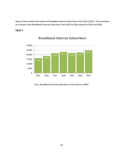Figure 4 below shows the number of Broadband Internet Subscribers from 2015 to 2021. There has been an increase in the Broadband Internet Subscribers from 2015 to 2021 except for 2019 and 2020.

## **Figure 4**



# **Broadband Internet Subscribers**

*Fig 4. Broadband internet subscribers in SVG (Source: NTRC)*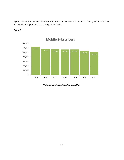Figure 5 shows the number of mobile subscribers for the years 2015 to 2021. The figure shows a 5.4% decrease in the figure for 2021 as compared to 2020.

# **Figure 5**



**Mobile Subscribers**

*Fig 5. Mobile Subscribers (Source: NTRC)*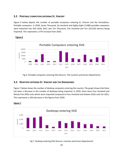## <span id="page-19-0"></span>**3.2 PORTABLE COMPUTERS ENTERING ST. VINCENT**

Figure 6 below depicts the number of portable computers entering St. Vincent and the Grenadines. Portable computers. In 2020, Seven Thousand, Six Hundred and Eighty-Eight (7,688) portable computers were imported into SVG while 2021 saw Ten Thousand, Five Hundred and Ten (10,510) devices being imported. This represents a 37% increase from 2020.



#### **Figure 6**

Fig 6. Portable computers entering SVG (Source: *The Customs and Excise Department)*

## <span id="page-19-1"></span>**3.3 DESKTOPS ENTERING ST. VINCENT AND THE GRENADINES**

Figure 7 below shows the number of desktop computers entering the country. The graph shows that there has been a decrease in the number of desktops being imported. In 2020, there were Four Hundred and Ninety-Five (495) units which were imported compared to Four Hundred and Sixteen (416) units for 2021. This represents a 16% decrease in the figures from 2020.



#### **Figure 7**

Fig 7. Desktop entering SVG (Source: *Customs and Excise Department)*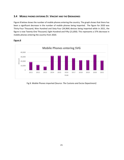## <span id="page-20-0"></span>**3.4 MOBILE PHONES ENTERING ST. VINCENT AND THE GRENADINES**

Figure 8 below shows the number of mobile phones entering the country. The graph shows that there has been a significant decrease in the number of mobile phones being imported. The figure for 2020 was Thirty-Four Thousand, Nine Hundred and Sixty-Four (34,964) devices being imported while in 2021, the figure is now Twenty-One Thousand, Eight Hundred and Fifty (21,850). This represents a 37% decrease in mobile phones entering the country from 2020.



## **Figure 8**

Fig 8. Mobile Phones imported (Source: *The Customs and Excise Department)*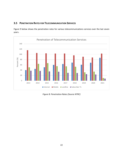# <span id="page-21-0"></span>**3.5 PENETRATION RATES FOR TELECOMMUNICATION SERVICES**

Figure 9 below shows the penetration rates for various telecommunications services over the last seven years.



*Figure 8: Penetration Rates (Source NTRC)*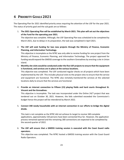# <span id="page-22-0"></span>**4 PRIORITY GOALS 2021**

The Operating Plan for 2021 identified priority areas requiring the attention of the USF for the year 2021. The status of priority goal and the sub goals are as follows:

1. **The 2021 Operating Plan will be established by March 2021. This plan will set out the objectives of the Fund for the operating year 2021.** 

The objective was complete. Although, the USF Operating Plan was scheduled to be completed by March 2021, due to delays in its preparation, the task was completed in April 2021.

2. **The USF will seek funding for two new projects through the Ministry of Finance, Economic Planning, and Information Technology.**

This objective is incomplete as the NTRC was only able to receive funding for one project from the Ministry of Finance, Economic Planning, and Information Technology. The project approved for funding would expand the GMDSS coverage to the southern Grenadines by erecting a site in Union Island.

3. **Monthly site visits would be conducted under the five USF projects to ensure that the equipment is functional, and services are in place at the various locations.** 

This objective was completed. The USF conducted regular checks on all projects which have been implemented by the USF. This includes physical visits to the project sites to ensure that the service and equipment are functional. The NTRC also remotely monitored the services at the selected locations daily to ensure that the services are functional.

4. **Provide an internet connection to Fifteen (15) playing fields and hard courts throughout St. Vincent and the Grenadines.**

This objective is incomplete. The task was incorporated under the Online 24/7 project that was tendered out on October 30, 2021. However, the bids submitted exceeded the Commission's budget hence the project will be retendered by March 2022.

## 5. **Connect 340 needy households with an internet connection in our efforts to bridge the digital divide.**

This task is not complete as the NTRC did not achieve its target to receive 340 complete applications, approximately 150 persons have been connected thus far. However, the application process remained opened and the remaining 180 connections are expected to be completed by the second quarter of 2022.

6. **The USF will ensure that a GMDSS training session is executed with the Coast Guard radio operators.**

This objective was completed. The NTRC hosted a GMDSS training session with the Coast Guard Radio Operators.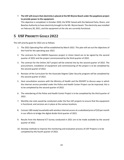7. **The USF will ensure that electricity is placed at the Mt Wynne Beach under the payphone project to provide power to the equipment.**

This objective is completed. In October 2020, the NTRC liaised with the National Parks, Rivers, and Beaches Authority to have electricity brought to the Mt. Wynne beach. The electricity was installed on February 28, 2021, and the equipment at the site are currently functional.

# <span id="page-23-0"></span>**5 USF PRIORITY GOALS 2022**

The USF priority goals for 2022 are as follows:

- 1. The 2022 Operating Plan will be established by March 2022. This plan will set out the objectives of the Fund for the operating year 2022.
- 2. The contracts for the GMDSS Expansion project in Union Island are to be signed by the second quarter of 2022 and the project commissioned by the third quarter of 2022.
- 3. The contract for the Online 24/7 project will be entered into by the second quarter of 2022. The procurement, installation of equipment and commissioning of the project is to be completed by the second quarter of 2022.
- 4. Revision of the Curriculum for the Associate Degree Cyber Security program will be completed by the second quarter of 2022.
- 5. Host consultation sessions with the Ministry of Health and the RSVGPF to discuss ways in which the internet service provided under the Police and Health Center Project can be improved, this is to be completed by the second quarter of 2022.
- 6. The retendering of the Police and Health Center Project is to be completed by the third quarter of 2022.
- 7. Monthly site visits would be conducted under the five USF projects to ensure that the equipment is functional, and services are in place at the various locations.
- 8. Connect 180 needy households with wireless internet access at a subsidized price of \$10 per month in our efforts to bridge the digital divide third quarter of 2022.
- 9. Results from the National ICT Survey conducted in 2021 are to be made available by the second quarter of 2022.
- 10. Develop methods to improve the monitoring and evaluation process of USF Projects is to be completed by the fourth quarter of 2022.